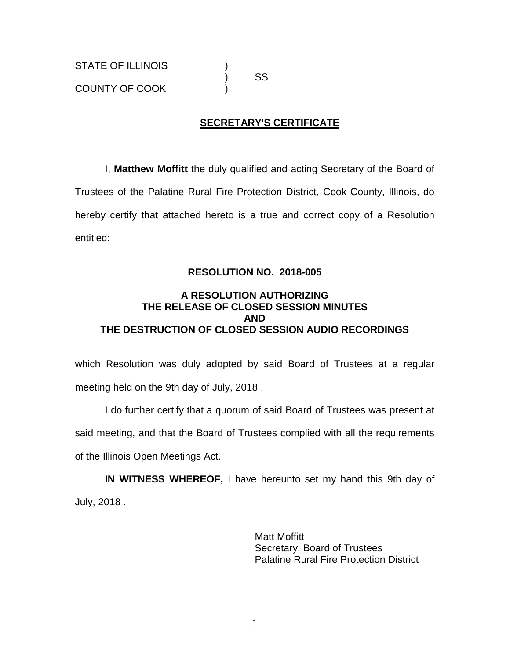# ) SS

### **SECRETARY'S CERTIFICATE**

I, **Matthew Moffitt** the duly qualified and acting Secretary of the Board of Trustees of the Palatine Rural Fire Protection District, Cook County, Illinois, do hereby certify that attached hereto is a true and correct copy of a Resolution entitled:

### **RESOLUTION NO. 2018-005**

### **A RESOLUTION AUTHORIZING THE RELEASE OF CLOSED SESSION MINUTES AND THE DESTRUCTION OF CLOSED SESSION AUDIO RECORDINGS**

which Resolution was duly adopted by said Board of Trustees at a regular meeting held on the 9th day of July, 2018.

I do further certify that a quorum of said Board of Trustees was present at said meeting, and that the Board of Trustees complied with all the requirements of the Illinois Open Meetings Act.

**IN WITNESS WHEREOF,** I have hereunto set my hand this 9th day of July, 2018.

> Matt Moffitt Secretary, Board of Trustees Palatine Rural Fire Protection District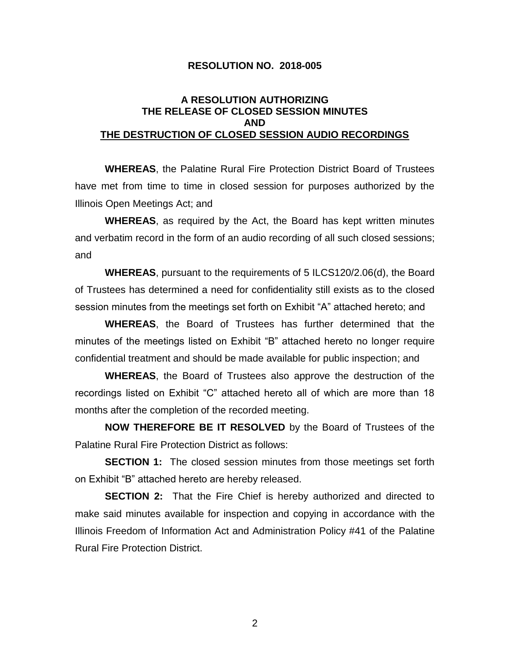#### **RESOLUTION NO. 2018-005**

### **A RESOLUTION AUTHORIZING THE RELEASE OF CLOSED SESSION MINUTES AND THE DESTRUCTION OF CLOSED SESSION AUDIO RECORDINGS**

**WHEREAS**, the Palatine Rural Fire Protection District Board of Trustees have met from time to time in closed session for purposes authorized by the Illinois Open Meetings Act; and

**WHEREAS**, as required by the Act, the Board has kept written minutes and verbatim record in the form of an audio recording of all such closed sessions; and

**WHEREAS**, pursuant to the requirements of 5 ILCS120/2.06(d), the Board of Trustees has determined a need for confidentiality still exists as to the closed session minutes from the meetings set forth on Exhibit "A" attached hereto; and

**WHEREAS**, the Board of Trustees has further determined that the minutes of the meetings listed on Exhibit "B" attached hereto no longer require confidential treatment and should be made available for public inspection; and

**WHEREAS**, the Board of Trustees also approve the destruction of the recordings listed on Exhibit "C" attached hereto all of which are more than 18 months after the completion of the recorded meeting.

**NOW THEREFORE BE IT RESOLVED** by the Board of Trustees of the Palatine Rural Fire Protection District as follows:

**SECTION 1:** The closed session minutes from those meetings set forth on Exhibit "B" attached hereto are hereby released.

**SECTION 2:** That the Fire Chief is hereby authorized and directed to make said minutes available for inspection and copying in accordance with the Illinois Freedom of Information Act and Administration Policy #41 of the Palatine Rural Fire Protection District.

2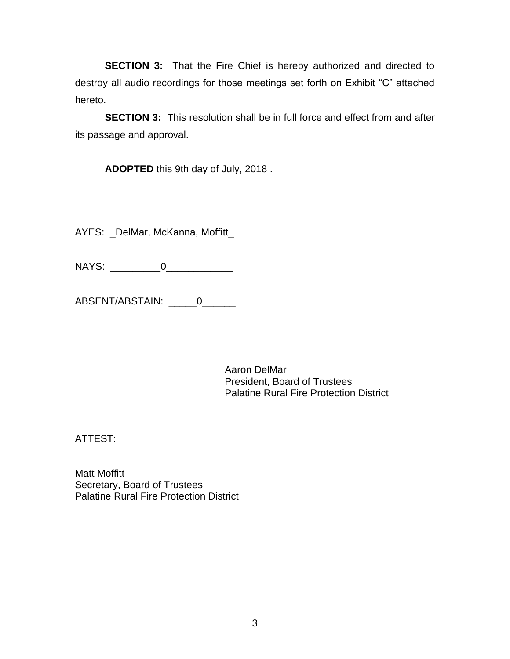**SECTION 3:** That the Fire Chief is hereby authorized and directed to destroy all audio recordings for those meetings set forth on Exhibit "C" attached hereto.

**SECTION 3:** This resolution shall be in full force and effect from and after its passage and approval.

ADOPTED this 9th day of July, 2018.

AYES: \_DelMar, McKanna, Moffitt\_

NAYS: \_\_\_\_\_\_\_\_\_0\_\_\_\_\_\_\_\_\_\_\_\_

ABSENT/ABSTAIN: \_\_\_\_\_0\_\_\_\_\_\_

Aaron DelMar President, Board of Trustees Palatine Rural Fire Protection District

ATTEST:

Matt Moffitt Secretary, Board of Trustees Palatine Rural Fire Protection District